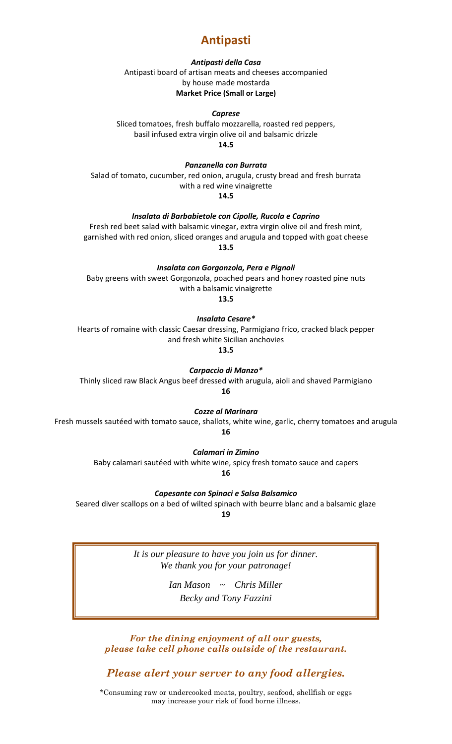# **Antipasti**

## *Antipasti della Casa*

Antipasti board of artisan meats and cheeses accompanied by house made mostarda **Market Price (Small or Large)**

## *Caprese*

Sliced tomatoes, fresh buffalo mozzarella, roasted red peppers, basil infused extra virgin olive oil and balsamic drizzle **14.5**

*Panzanella con Burrata*

Salad of tomato, cucumber, red onion, arugula, crusty bread and fresh burrata with a red wine vinaigrette **14.5**

*Insalata di Barbabietole con Cipolle, Rucola e Caprino*

Fresh red beet salad with balsamic vinegar, extra virgin olive oil and fresh mint, garnished with red onion, sliced oranges and arugula and topped with goat cheese **13.5**

*Insalata con Gorgonzola, Pera e Pignoli* Baby greens with sweet Gorgonzola, poached pears and honey roasted pine nuts

with a balsamic vinaigrette

**13.5**

*Insalata Cesare\**

Hearts of romaine with classic Caesar dressing, Parmigiano frico, cracked black pepper and fresh white Sicilian anchovies

**13.5**

*Carpaccio di Manzo\**

Thinly sliced raw Black Angus beef dressed with arugula, aioli and shaved Parmigiano **16**

*Cozze al Marinara*

Fresh mussels sautéed with tomato sauce, shallots, white wine, garlic, cherry tomatoes and arugula **16**

*Calamari in Zimino*

Baby calamari sautéed with white wine, spicy fresh tomato sauce and capers

**16**

*Capesante con Spinaci e Salsa Balsamico*

Seared diver scallops on a bed of wilted spinach with beurre blanc and a balsamic glaze

**19**

*It is our pleasure to have you join us for dinner. We thank you for your patronage!*

> *Ian Mason ~ Chris Miller Becky and Tony Fazzini*

*For the dining enjoyment of all our guests, please take cell phone calls outside of the restaurant.*

*Please alert your server to any food allergies.*

\*Consuming raw or undercooked meats, poultry, seafood, shellfish or eggs may increase your risk of food borne illness.